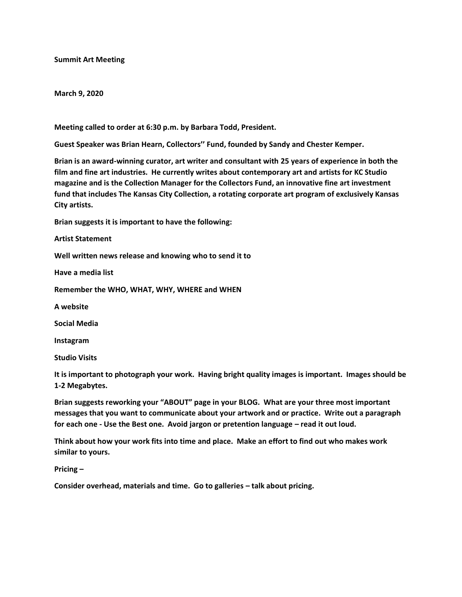## **Summit Art Meeting**

#### **March 9, 2020**

**Meeting called to order at 6:30 p.m. by Barbara Todd, President.**

**Guest Speaker was Brian Hearn, Collectors'' Fund, founded by Sandy and Chester Kemper.**

**Brian is an award-winning curator, art writer and consultant with 25 years of experience in both the film and fine art industries. He currently writes about contemporary art and artists for KC Studio magazine and is the Collection Manager for the Collectors Fund, an innovative fine art investment fund that includes The Kansas City Collection, a rotating corporate art program of exclusively Kansas City artists.**

**Brian suggests it is important to have the following:**

**Artist Statement**

**Well written news release and knowing who to send it to**

**Have a media list**

**Remember the WHO, WHAT, WHY, WHERE and WHEN**

**A website**

**Social Media**

**Instagram**

**Studio Visits**

**It is important to photograph your work. Having bright quality images is important. Images should be 1-2 Megabytes.**

**Brian suggests reworking your "ABOUT" page in your BLOG. What are your three most important messages that you want to communicate about your artwork and or practice. Write out a paragraph for each one - Use the Best one. Avoid jargon or pretention language – read it out loud.**

**Think about how your work fits into time and place. Make an effort to find out who makes work similar to yours.**

**Pricing –**

**Consider overhead, materials and time. Go to galleries – talk about pricing.**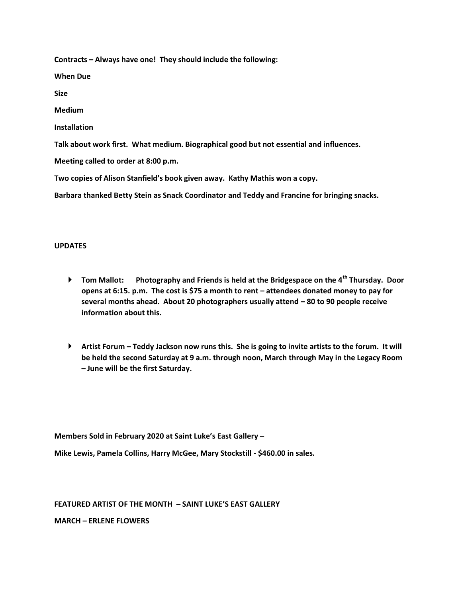**Contracts – Always have one! They should include the following:**

**When Due**

**Size**

**Medium**

**Installation**

**Talk about work first. What medium. Biographical good but not essential and influences.**

**Meeting called to order at 8:00 p.m.**

**Two copies of Alison Stanfield's book given away. Kathy Mathis won a copy.**

**Barbara thanked Betty Stein as Snack Coordinator and Teddy and Francine for bringing snacks.**

## **UPDATES**

- **Tom Mallot: Photography and Friends is held at the Bridgespace on the 4th Thursday. Door opens at 6:15. p.m. The cost is \$75 a month to rent – attendees donated money to pay for several months ahead. About 20 photographers usually attend – 80 to 90 people receive information about this.**
- **Artist Forum – Teddy Jackson now runs this. She is going to invite artists to the forum. It will be held the second Saturday at 9 a.m. through noon, March through May in the Legacy Room – June will be the first Saturday.**

**Members Sold in February 2020 at Saint Luke's East Gallery –**

**Mike Lewis, Pamela Collins, Harry McGee, Mary Stockstill - \$460.00 in sales.**

## **FEATURED ARTIST OF THE MONTH – SAINT LUKE'S EAST GALLERY**

**MARCH – ERLENE FLOWERS**